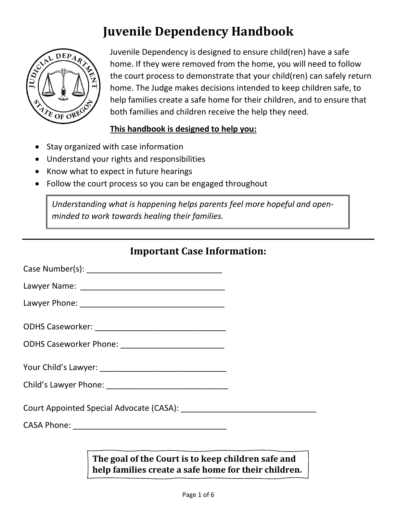

Juvenile Dependency is designed to ensure child(ren) have a safe home. If they were removed from the home, you will need to follow the court process to demonstrate that your child(ren) can safely return home. The Judge makes decisions intended to keep children safe, to help families create a safe home for their children, and to ensure that both families and children receive the help they need.

#### **This handbook is designed to help you:**

- Stay organized with case information
- Understand your rights and responsibilities
- Know what to expect in future hearings
- Follow the court process so you can be engaged throughout

*Understanding what is happening helps parents feel more hopeful and openminded to work towards healing their families.*

### **Important Case Information:**

| Case Number(s): |  |
|-----------------|--|
|                 |  |

Lawyer Name: \_\_\_\_\_\_\_\_\_\_\_\_\_\_\_\_\_\_\_\_\_\_\_\_\_\_\_\_\_\_\_\_

Lawyer Phone:  $\blacksquare$ 

ODHS Caseworker Phone: \_\_\_\_\_\_\_\_\_\_\_\_\_\_\_\_\_\_\_\_\_\_\_

Your Child's Lawyer: \_\_\_\_\_\_\_\_\_\_\_\_\_\_\_\_\_\_\_\_\_\_\_\_\_\_\_\_

Child's Lawyer Phone: \_\_\_\_\_\_\_\_\_\_\_\_\_\_\_\_\_\_\_\_\_\_\_\_\_\_\_

Court Appointed Special Advocate (CASA): \_\_\_\_\_\_\_\_\_\_\_\_\_\_\_\_\_\_\_\_\_\_\_\_\_\_\_\_\_\_

CASA Phone: \_\_\_\_\_\_\_\_\_\_\_\_\_\_\_\_\_\_\_\_\_\_\_\_\_\_\_\_\_\_\_\_\_\_

**The goal of the Court is to keep children safe and help families create a safe home for their children.**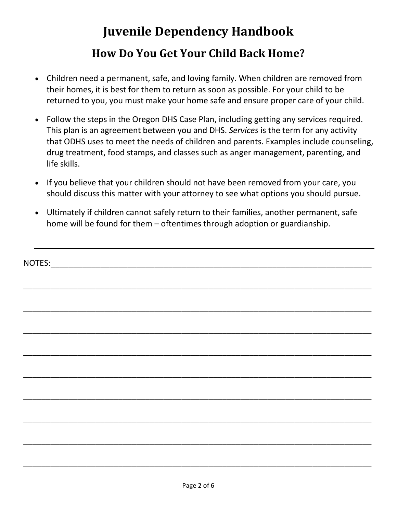# **Juvenile Dependency Handbook How Do You Get Your Child Back Home?**

- Children need a permanent, safe, and loving family. When children are removed from their homes, it is best for them to return as soon as possible. For your child to be returned to you, you must make your home safe and ensure proper care of your child.
- Follow the steps in the Oregon DHS Case Plan, including getting any services required. This plan is an agreement between you and DHS. *Services* is the term for any activity that ODHS uses to meet the needs of children and parents. Examples include counseling, drug treatment, food stamps, and classes such as anger management, parenting, and life skills.
- If you believe that your children should not have been removed from your care, you should discuss this matter with your attorney to see what options you should pursue.
- Ultimately if children cannot safely return to their families, another permanent, safe home will be found for them – oftentimes through adoption or guardianship.

| NOTES: | <u> 1980 - Jan Barnett, fransk politiker (d. 1980)</u> |  |  |
|--------|--------------------------------------------------------|--|--|
|        |                                                        |  |  |
|        |                                                        |  |  |
|        |                                                        |  |  |
|        |                                                        |  |  |
|        |                                                        |  |  |

\_\_\_\_\_\_\_\_\_\_\_\_\_\_\_\_\_\_\_\_\_\_\_\_\_\_\_\_\_\_\_\_\_\_\_\_\_\_\_\_\_\_\_\_\_\_\_\_\_\_\_\_\_\_\_\_\_\_\_\_\_\_\_\_\_\_\_\_\_\_\_\_\_\_\_\_\_

\_\_\_\_\_\_\_\_\_\_\_\_\_\_\_\_\_\_\_\_\_\_\_\_\_\_\_\_\_\_\_\_\_\_\_\_\_\_\_\_\_\_\_\_\_\_\_\_\_\_\_\_\_\_\_\_\_\_\_\_\_\_\_\_\_\_\_\_\_\_\_\_\_\_\_\_\_

\_\_\_\_\_\_\_\_\_\_\_\_\_\_\_\_\_\_\_\_\_\_\_\_\_\_\_\_\_\_\_\_\_\_\_\_\_\_\_\_\_\_\_\_\_\_\_\_\_\_\_\_\_\_\_\_\_\_\_\_\_\_\_\_\_\_\_\_\_\_\_\_\_\_\_\_\_

\_\_\_\_\_\_\_\_\_\_\_\_\_\_\_\_\_\_\_\_\_\_\_\_\_\_\_\_\_\_\_\_\_\_\_\_\_\_\_\_\_\_\_\_\_\_\_\_\_\_\_\_\_\_\_\_\_\_\_\_\_\_\_\_\_\_\_\_\_\_\_\_\_\_\_\_\_

\_\_\_\_\_\_\_\_\_\_\_\_\_\_\_\_\_\_\_\_\_\_\_\_\_\_\_\_\_\_\_\_\_\_\_\_\_\_\_\_\_\_\_\_\_\_\_\_\_\_\_\_\_\_\_\_\_\_\_\_\_\_\_\_\_\_\_\_\_\_\_\_\_\_\_\_\_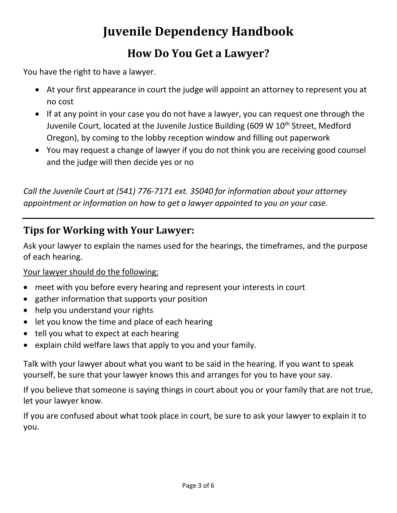## **How Do You Get a Lawyer?**

You have the right to have a lawyer.

- At your first appearance in court the judge will appoint an attorney to represent you at no cost
- If at any point in your case you do not have a lawyer, you can request one through the Juvenile Court, located at the Juvenile Justice Building (609 W  $10<sup>th</sup>$  Street, Medford Oregon), by coming to the lobby reception window and filling out paperwork
- You may request a change of lawyer if you do not think you are receiving good counsel and the judge will then decide yes or no

*Call the Juvenile Court at (541) 776-7171 ext. 35040 for information about your attorney appointment or information on how to get a lawyer appointed to you on your case.* 

### **Tips for Working with Your Lawyer:**

Ask your lawyer to explain the names used for the hearings, the timeframes, and the purpose of each hearing.

### Your lawyer should do the following:

- meet with you before every hearing and represent your interests in court
- gather information that supports your position
- help you understand your rights
- let you know the time and place of each hearing
- tell you what to expect at each hearing
- explain child welfare laws that apply to you and your family.

Talk with your lawyer about what you want to be said in the hearing. If you want to speak yourself, be sure that your lawyer knows this and arranges for you to have your say.

If you believe that someone is saying things in court about you or your family that are not true, let your lawyer know.

If you are confused about what took place in court, be sure to ask your lawyer to explain it to you.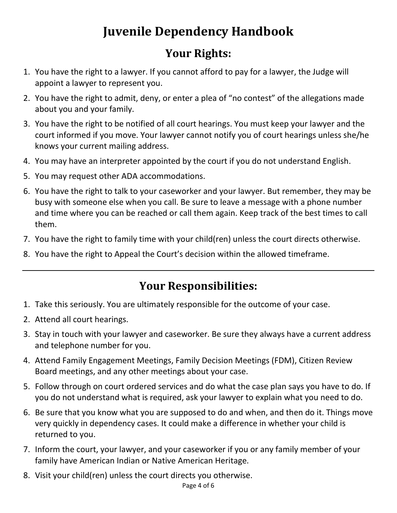## **Your Rights:**

- 1. You have the right to a lawyer. If you cannot afford to pay for a lawyer, the Judge will appoint a lawyer to represent you.
- 2. You have the right to admit, deny, or enter a plea of "no contest" of the allegations made about you and your family.
- 3. You have the right to be notified of all court hearings. You must keep your lawyer and the court informed if you move. Your lawyer cannot notify you of court hearings unless she/he knows your current mailing address.
- 4. You may have an interpreter appointed by the court if you do not understand English.
- 5. You may request other ADA accommodations.
- 6. You have the right to talk to your caseworker and your lawyer. But remember, they may be busy with someone else when you call. Be sure to leave a message with a phone number and time where you can be reached or call them again. Keep track of the best times to call them.
- 7. You have the right to family time with your child(ren) unless the court directs otherwise.
- 8. You have the right to Appeal the Court's decision within the allowed timeframe.

## **Your Responsibilities:**

- 1. Take this seriously. You are ultimately responsible for the outcome of your case.
- 2. Attend all court hearings.
- 3. Stay in touch with your lawyer and caseworker. Be sure they always have a current address and telephone number for you.
- 4. Attend Family Engagement Meetings, Family Decision Meetings (FDM), Citizen Review Board meetings, and any other meetings about your case.
- 5. Follow through on court ordered services and do what the case plan says you have to do. If you do not understand what is required, ask your lawyer to explain what you need to do.
- 6. Be sure that you know what you are supposed to do and when, and then do it. Things move very quickly in dependency cases. It could make a difference in whether your child is returned to you.
- 7. Inform the court, your lawyer, and your caseworker if you or any family member of your family have American Indian or Native American Heritage.
- 8. Visit your child(ren) unless the court directs you otherwise.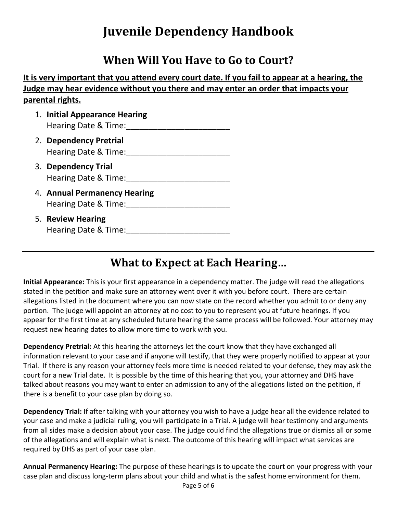### **When Will You Have to Go to Court?**

**It is very important that you attend every court date. If you fail to appear at a hearing, the Judge may hear evidence without you there and may enter an order that impacts your parental rights.** 

- 1. **Initial Appearance Hearing** Hearing Date & Time:\_\_\_\_\_\_\_\_\_\_\_\_\_\_\_\_\_\_\_\_\_\_\_
- 2. **Dependency Pretrial** Hearing Date & Time:\_\_\_\_\_\_\_\_\_\_\_\_\_\_\_\_\_\_\_\_\_\_\_
- 3. **Dependency Trial** Hearing Date & Time:
- 4. **Annual Permanency Hearing** Hearing Date & Time:
- 5. **Review Hearing** Hearing Date & Time:

### **What to Expect at Each Hearing…**

**Initial Appearance:** This is your first appearance in a dependency matter. The judge will read the allegations stated in the petition and make sure an attorney went over it with you before court. There are certain allegations listed in the document where you can now state on the record whether you admit to or deny any portion. The judge will appoint an attorney at no cost to you to represent you at future hearings. If you appear for the first time at any scheduled future hearing the same process will be followed. Your attorney may request new hearing dates to allow more time to work with you.

**Dependency Pretrial:** At this hearing the attorneys let the court know that they have exchanged all information relevant to your case and if anyone will testify, that they were properly notified to appear at your Trial. If there is any reason your attorney feels more time is needed related to your defense, they may ask the court for a new Trial date. It is possible by the time of this hearing that you, your attorney and DHS have talked about reasons you may want to enter an admission to any of the allegations listed on the petition, if there is a benefit to your case plan by doing so.

**Dependency Trial:** If after talking with your attorney you wish to have a judge hear all the evidence related to your case and make a judicial ruling, you will participate in a Trial. A judge will hear testimony and arguments from all sides make a decision about your case. The judge could find the allegations true or dismiss all or some of the allegations and will explain what is next. The outcome of this hearing will impact what services are required by DHS as part of your case plan.

**Annual Permanency Hearing:** The purpose of these hearings is to update the court on your progress with your case plan and discuss long-term plans about your child and what is the safest home environment for them.